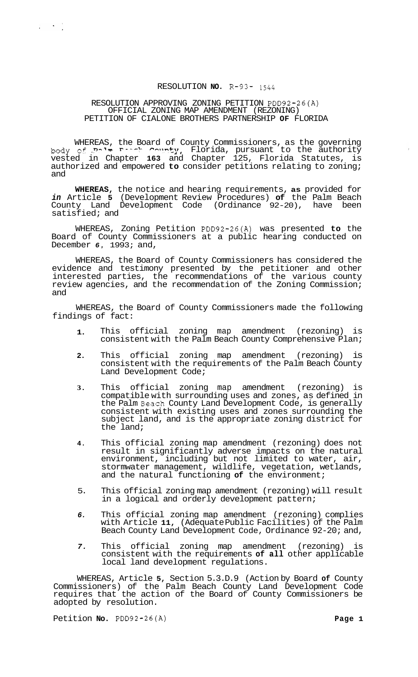## RESOLUTION **NO.** R-93- *<sup>1544</sup>*

## RESOLUTION APPROVING ZONING PETITION PDD92-26(A) PETITION OF CIALONE BROTHERS PARTNERSHIP **OF** FLORIDA OFFICIAL ZONING MAP AMENDMENT (REZONING)

 $\mathcal{L}^{\text{max}}(\mathcal{A})$  ,  $\mathcal{L}^{\text{max}}(\mathcal{A})$ 

WHEREAS, the Board of County Commissioners, as the governing body **cf <?-'m r--.-?- mn=-,ty,** Florida, pursuant to the authority vested in Chapter **163** and Chapter 125, Florida Statutes, is authorized and empowered **to** consider petitions relating to zoning; and

**WHEREAS,** the notice and hearing requirements, **as** provided for *in* Article **5** (Development Review Procedures) **of** the Palm Beach County Land Development Code (Ordinance 92-20), have been satisfied; and

WHEREAS, Zoning Petition PDD92-26(A) was presented **to** the Board of County Commissioners at a public hearing conducted on December *6,* 1993; and,

WHEREAS, the Board of County Commissioners has considered the evidence and testimony presented by the petitioner and other interested parties, the recommendations of the various county review agencies, and the recommendation of the Zoning Commission; and

WHEREAS, the Board of County Commissioners made the following findings of fact:

- **1.**  This official zoning map amendment (rezoning) is consistent with the Palm Beach County Comprehensive Plan;
- **2.**  This official zoning map amendment (rezoning) is consistent with the requirements of the Palm Beach County Land Development Code;
- **3.**  This official zoning map amendment (rezoning) is compatible with surrounding uses and zones, as defined in the Palm Beach County Land Development Code, is generally consistent with existing uses and zones surrounding the subject land, and is the appropriate zoning district for the land;
- **4.**  This official zoning map amendment (rezoning) does not result in significantly adverse impacts on the natural environment, including but not limited to water, air, stormwater management, wildlife, vegetation, wetlands, and the natural functioning **of** the environment;
- 5. This official zoning map amendment (rezoning) will result in a logical and orderly development pattern;
- *6.*  This official zoning map amendment (rezoning) complies with Article **11,** (Adequate Public Facilities) of the Palm Beach County Land Development Code, Ordinance 92-20; and,
- *7.*  This official zoning map amendment (rezoning) is consistent with the requirements **of all** other applicable local land development regulations.

WHEREAS, Article **5,** Section 5.3.D.9 (Action by Board **of** County Commissioners) of the Palm Beach County Land Development Code requires that the action of the Board of County Commissioners be adopted by resolution.

Petition **No.** PDD92-26(A) **Page 1**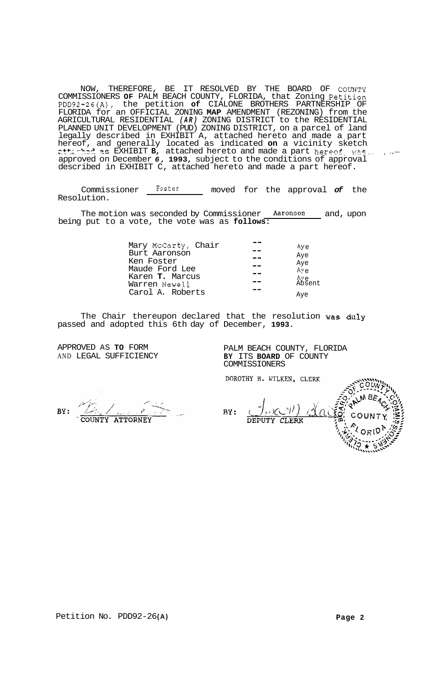NOW, THEREFORE, BE IT RESOLVED BY THE BOARD OF COUNTY COMMISSIONERS **OF** PALM BEACH COUNTY, FLORIDA, that Zoning Petition PDD92-26(A), the petition **of** CIALONE BROTHERS PARTNERSHIP OF FLORIDA for an OFFICIAL ZONING **MAP** AMENDMENT (REZONING) from the AGRICULTURAL RESIDENTIAL *(AR)* ZONING DISTRICT to the RESIDENTIAL PLANNED UNIT DEVELOPMENT (PUD) ZONING DISTRICT, on a parcel of land legally described in EXHIBIT A, attached hereto and made a part hereof, and generally located as indicated **on** a vicinity sketch hereof, and generally located as indicated **on** a vicinity sketch attached hereto and made a part hereof, was , ... approved on December *6,* **1993,** subject to the conditions of approval described in EXHIBIT C, attached hereto and made a part hereof.

Commissioner Foster moved for the approval *of* the Resolution.

The motion was seconded by Commissioner Aaronson and, upon being put to a vote, the vote was as **follows:** 

| Mary McCarty, Chair<br>Burt Aaronson<br>Ken Foster | $Ay \sim$<br>Aye<br>Aye          |
|----------------------------------------------------|----------------------------------|
| Maude Ford Lee<br>Karen T. Marcus<br>Warren Newell | Aye<br>Åy <sub>e</sub><br>Absent |
| Carol A. Roberts                                   | Ave                              |

The Chair thereupon declared that the resolution was duly passed and adopted this 6th day of December, **1993.** 

APPROVED AS **TO** FORM **PALM BEACH COUNTY, FLORIDA**<br>
AND LEGAL SUFFICIENCY **BY** ITS **BOARD** OF COUNTY BY ITS **BOARD** OF COUNTY COMMISSIONERS

DOROTHY H. WILKEN, CLERK

BY: COUNTY **ATTORNEY** 

/ا BY:  $l$   $\vee$   $\vee$   $\wedge$ **DEPUTY CLERK**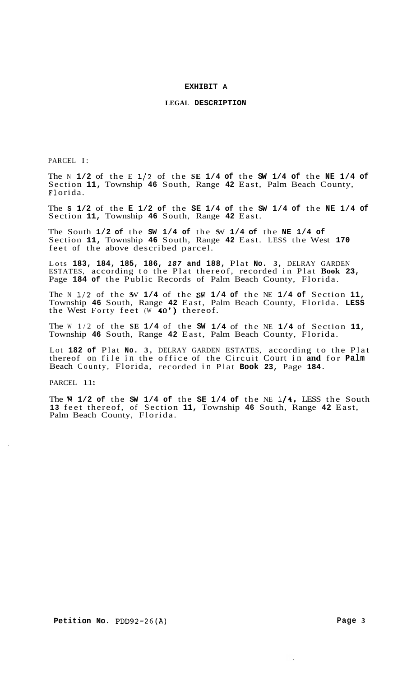### **EXHIBIT A**

### **LEGAL DESCRIPTION**

<span id="page-2-0"></span>PARCEL I:

The N **1/2** of the E **1/2** of the **SE 1/4 of** the **SW 1/4 of** the **NE 1/4 of**  Section **11,** Township **46** South, Range **42** East, Palm Beach County, F1 orida.

The **S 1/2** of the **E 1/2 of** the **SE 1/4 of** the **SW 1/4 of** the **NE 1/4 of**  Section **11,** Township **46** South, Range **42** East.

The South **1/2 of** the **SW 1/4 of** the SW **1/4 of** the **NE 1/4 of**  Section **11,** Township **46** South, Range **42** East. LESS the West **170**  feet of the above described parcel.

Lots **183, 184, 185, 186,** *187* **and 188,** Plat **No. 3,** DELRAY GARDEN ESTATES, according to the Plat thereof, recorded in Plat **Book 23,**  Page **184 of** the Public Records of Palm Beach County, Florida.

The N **1/2** of the SW **1/4** of the **SW 1/4 of** the NE **1/4 of** Section **11,**  Township **46** South, Range **42** East, Palm Beach County, Florida. **LESS**  the West Forty feet (W **40')** thereof.

The W 1/2 of the **SE 1/4** of the **SW 1/4** of the NE **1/4** of Section **11,**  Township **46** South, Range **42** East, Palm Beach County, Florida.

Lot **182 of** Plat **No. 3,** DELRAY GARDEN ESTATES, according to the Plat thereof on file in the office of the Circuit Court in **and** for **Palm**  Beach County, Florida, recorded in Plat **Book 23,** Page **184.** 

PARCEL 11:

The **W 1/2 of** the **SW 1/4 of** the **SE 1/4 of** the NE **1/4,** LESS the South **13** feet thereof, of Section **11,** Township **46** South, Range **42** East, Palm Beach County, Florida.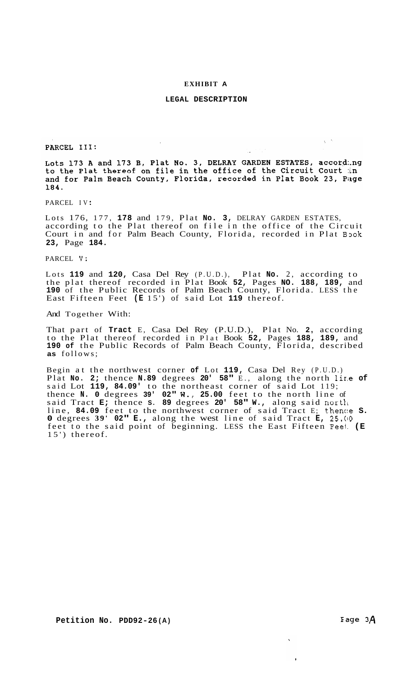### **[EXHIBIT](#page-2-0) A**

## **LEGAL DESCRIPTION**

PARCEL III:

Lots 173 A and 173 B, Plat No. 3, DELRAY GARDEN ESTATES, accordang to the Plat thereof on file in the office of the Circuit Court in and for Palm Beach County, Florida, recorded in Plat Book 23, Page 184.

PARCEL IV :

Lots 176, 177, **178** and 179, Plat **No. 3,** DELRAY GARDEN ESTATES, according to the Plat thereof on file in the office of the Circuit Court in and for Palm Beach County, Florida, recorded in Plat Book **23,** Page **184.** 

PARCEL **V:** 

Lots **119** and **120,** Casa Del Rey (P.U.D.), Plat **No.** 2, according to the plat thereof recorded in Plat Book **52,** Pages **NO. 188, 189,** and **190** of the Public Records of Palm Beach County, Florida. LESS the East Fifteen Feet **(E** 15') of said Lot **119** thereof.

And Together With:

That part of **Tract** E, Casa Del Rey (P.U.D.), Plat No. **2,** according to the Plat thereof recorded in Plat Book **52,** Pages **188, 189,** and **190 of** the Public Records of Palm Beach County, Florida, described **as** follows;

Begin at the northwest corner **of** Lot **119,** Casa Del Rey (P.U.D.) Plat **No. 2;** thence **N.89** degrees **20' 58"** E., along the north 1ir.e **of**  said Lot **119, 84.09'** to the northeast corner of said Lot 119; thence **N. 0** degrees **39' 02" W., 25.00** feet to the north line of said Tract **E;** thence **S. 89** degrees **20' 58" W.,** along said nortli line, 84.09 feet to the northwest corner of said Tract E; thence s. **0** degrees **39' 02" E.,** along the west line of said Tract **E, 25.(10**  feet to the said point of beginning. LESS the East Fifteen Feet: **(E**  15') thereof.

Fage  $3\text{\AA}$ 

 $\chi \rightarrow$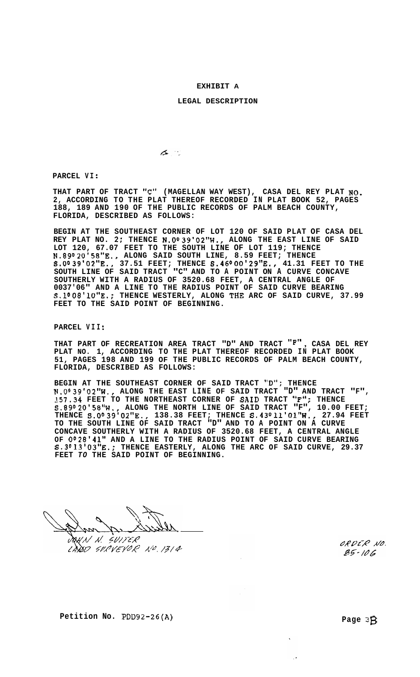### **[EXHIBIT](#page-2-0) A**

### **LEGAL DESCRIPTION**

 $\sigma$  .

**PARCEL VI** :

**THAT PART OF TRACT "C" (MAGELLAN WAY WEST), CASA DEL REY PLAT NO. 2, ACCORDING TO THE PLAT THEREOF RECORDED IN PLAT BOOK 52, PAGES 188, 189 AND 190 OF THE PUBLIC RECORDS OF PALM BEACH COUNTY, FLORIDA, DESCRIBED AS FOLLOWS:** 

**BEGIN AT THE SOUTHEAST CORNER OF LOT 120 OF SAID PLAT OF CASA DEL REY PLAT NO. 2; THENCE N.O039'02"W., ALONG THE EAST LINE OF SAID N.89020158"E., ALONG SAID SOUTH LINE, 8.59 FEET; THENCE S.O\*39'02"E., 37.51 FEET; THENCE S,46000'29"E., 41.31 FEET TO THE SOUTH LINE OF SAID TRACT "C" AND TO A POINT ON A CURVE CONCAVE SOUTHERLY WITH A RADIUS OF 3520.68 FEET, A CENTRAL ANGLE OF 0037'06" AND A LINE TO THE RADIUS POINT OF SAID CURVE BEARING S.lo08'10"E.; THENCE WESTERLY, ALONG THE ARC OF SAID CURVE, 37.99 FEET TO THE SAID POINT OF BEGINNING. LOT 120, 67.07 FEET TO THE SOUTH LINE OF LOT 119; THENCE** 

**PARCEL VI I** :

**THAT PART OF RECREATION AREA TRACT "D" AND TRACT "F"** , **CASA DEL REY PLAT NO. 1, ACCORDING TO THE PLAT THEREOF RECORDED IN PLAT BOOK 51, PAGES 198 AND 199 OF THE PUBLIC RECORDS OF PALM BEACH COUNTY, FLORIDA, DESCRIBED AS FOLLOWS:** 

**BEGIN AT THE SOUTHEAST CORNER OF SAID TRACT "D"; THENCE t4,0039'02"W., ALONG THE EAST LINE OF SAID TRACT "D" AND TRACT "F", l57.34 FEET TO THE NORTHEAST CORNER OF SAID TRACT "F"; THENCE S.8902O158"W., ALONG THE NORTH LINE OF SAID TRACT "F", 10.00 FEET; THENCE S.Oo39'02"E., 138.38 FEET; THENCE S.43\*l1'Ol1'W., 27.94 FEET TO THE SOUTH LINE OF SAID TRACT "D" AND TO A POINT ON A CURVE CONCAVE SOUTHERLY WITH A RADIUS OF 3520.68 FEET, A CENTRAL ANGLE OF 0028'41" AND A LINE TO THE RADIUS POINT OF SAID CURVE BEARING S.3°13'03"E.; THENCE EASTERLY, ALONG THE ARC OF SAID CURVE, 29.37 FEET** *TO* **THE SAID POINT OF BEGINNING.** 

DOKN N. SVITER LANSO SURVEYOR NO. 1314

ORDER NO.  $85 - 106$ 

**Petition No. PDD92-26(A)** Page 38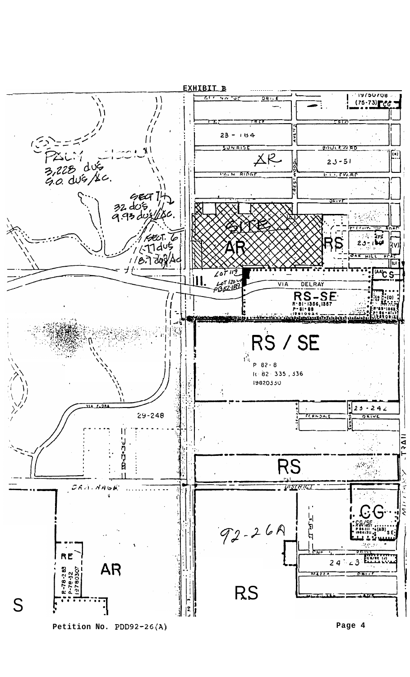

**Page 4**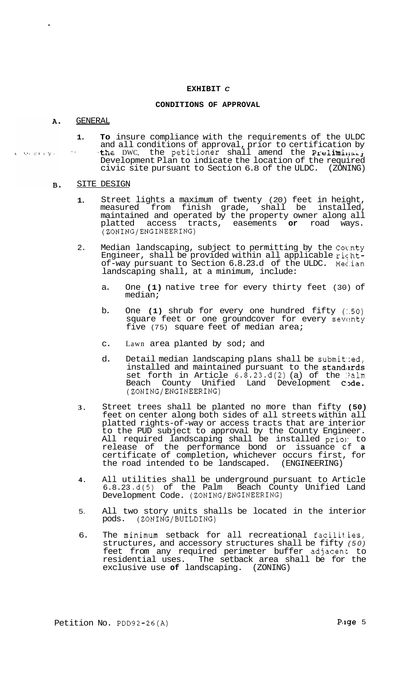### **EXHIBIT** *C*

### **CONDITIONS OF APPROVAL**

#### GENERAL A.

lover by L

**1. To** insure compliance with the requirements of the ULDC and all conditions of approval, prior to certification by the DWC, the petitioner shall amend the Preliminally Development Plan to indicate the location of the required civic site pursuant to Section  $6.8$  of the ULDC. (ZONING) ..

#### SITE DESIGN **B.**

- **1.**  Street lights a maximum of twenty (20) feet in height, measured from finish grade, shall be installed, maintained and operated by the property owner along all platted access tracts, easements **or** road ways. (ZONING/ENGINEERING)
- 2. Median landscaping, subject to permitting by the Coc.nty Engineer, shall be provided within all applicable richtof-way pursuant to Section 6.8.23.d of the ULDC. Mec.ian landscaping shall, at a minimum, include:
	- a. One **(1)** native tree for every thirty feet (30) of median;
	- b. One **(1)** shrub for every one hundred fifty *(:.50)*  square feet or one groundcover for every seventy five (75) square feet of median area;
	- c. Lawn area planted by sod; and
	- d. Detail median landscaping plans shall be submitted, installed and maintained pursuant to the standards set forth in Article  $6.\overline{8}.23.d(2)$  (a) of the Palm Beach County Unified Land Development Code. (ZONING/ENGINEERING)
- **3.**  Street trees shall be planted no more than fifty **(50)**  feet on center along both sides of all streets within all platted rights-of-way or access tracts that are interior to the PUD subject to approval by the County Engineer. All required landscaping shall be installed priol: to release of the performance bond or issuance cf **a**  certificate of completion, whichever occurs first, for the road intended to be landscaped. (ENGINEERING)
- **4.**  All utilities shall be underground pursuant to Article 6.8.23 **.d(5)** of the Palm Beach County Unified Land Development Code. (ZONING/ENGINEERING)
- 5. All two story units shalls be located in the interior pods. (ZONING/BUILDING)
- 6. The minimum setback for all recreational facilit.ies, structures, and accessory structures shall be fifty *(50)*  feet from any required perimeter buffer adjacent to residential uses. The setback area shall be for the exclusive use of landscaping. (ZONING) exclusive use of landscaping.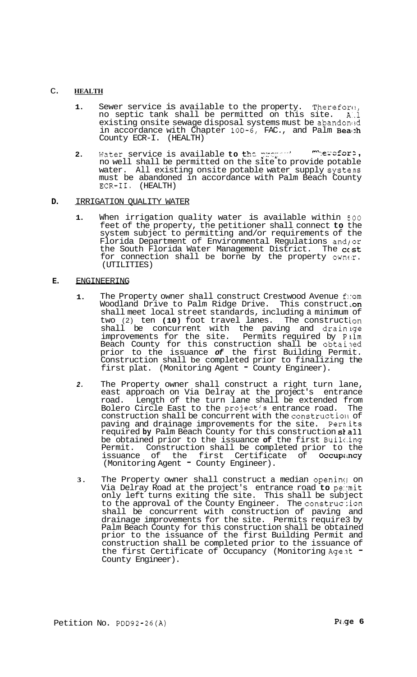## C. **HEALTH**

- 1. Sewer service is available to the property. Therefore, no septic tank shall be permitted on this site. A:.l existing onsite sewage disposal systems must be abandoned in accordance with Chapter 100-6, FAC., and Palm Beath County ECR-I. (HEALTH)
- **2.** Water service is available **to the proper '' <sup>m</sup>'erefore**,<br>no well shall be permitted on the site to provide potable water. All existing onsite potable water supply systens must be abandoned in accordance with Palm Beach County ECR-11. (HEALTH) ... *mhercfort*.

# **D.** IRRIGATION QUALITY WATER

**1.** When irrigation quality water is available within *500*  feet of the property, the petitioner shall connect **to** the system subject to permitting and/or requirements of the Florida Department of Environmental Regulations and/or the South Florida Water Management District. The  $c$ <sub>s</sub>t for connection shall be borne by the property owner. (UTILITIES)

# **E.** ENGINEERING

- 1. The Property owner shall construct Crestwood Avenue flom Woodland Drive to Palm Ridge Drive. This construct.on shall meet local street standards, including a minimum of two (2) ten (10) foot travel lanes. The construction shall be concurrent with the paving and drainige improvements for the site. Permits required by Pilm Beach County for this construction shall be obtained prior to the issuance *of* the first Building Permit. Construction shall be completed prior to finalizing the first plat. (Monitoring Agent - County Engineer).
- *2.* The Property owner shall construct a right turn lane, east approach on Via Delray at the project's entrance road. Length of the turn lane shall be extended from Bolero Circle East to the project's entrance road. The construction shall be concurrent with the constructioll of paving and drainage improvements for the site. Permits required by Palm Beach County for this construction stall be obtained prior to the issuance **of** the first Builc.ing Permit. Construction shall be completed prior to the issuance of the first Certificate of Occupancy<br>(Monitoring Agent " County Engineer).
- **3.** The Property owner shall construct a median opening on Via Delray Road at the project's entrance road **to** pe:rmit only left turns exiting the site. This shall be subject to the approval of the County Engineer. The construction shall be concurrent with construction of paving and drainage improvements for the site. Permits require3 by Palm Beach County for this construction shall be obtained prior to the issuance of the first Building Permit and construction shall be completed prior to the issuance of the first Certificate of Occupancy (Monitoring Age?t - County Engineer).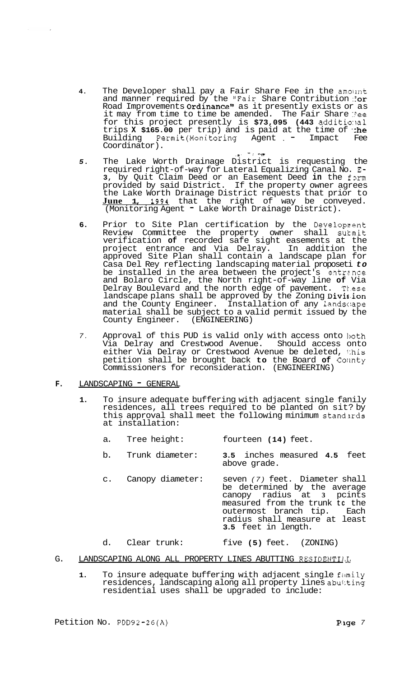**4.** The Developer shall pay a Fair Share Fee in the amount and manner required by the "Fair Share Contribution : or Road Improvements Ordinance" as it presently exists or as it may from time to time be amended. The Fair Share Ree for this project presently is **\$73,095 (443** additio:lal trips **X \$165.00** per trip) and is paid at the time of **the**<br>Building Permit(Monitoring Agent , - Impact Fee Building Permit(Monitoring Agent = Impact<br>Coordinator).

- *5.* The Lake Worth Drainage District is requesting the required right-of-way for Lateral Equalizing Canal No. E-**3,** by Quit Claim Deed or an Easement Deed in the form provided by said District. If the property owner agrees the Lake Worth Drainage District requests that prior to **June 1, 1991** that the right of way be conveyed. (Monitoring Agent - Lake Worth Drainage District).
- 6. Prior to Site Plan certification by the Development Review Committee the property owner shall surnit verification **of** recorded safe sight easements at the project entrance and Via Delray. In addition the approved Site Plan shall contain a landscape plan for Casa Del Rey reflecting landscaping material proposeti *to*  be installed in the area between the project's entrance and Bolaro Circle, the North right-of-way line **of** Via Delray Boulevard and the north edge of pavement. Tk.ese landscape plans shall be approved by the Zoning Division and the County Engineer. Installation of any 1andsc:ape material shall be subject to a valid permit issued by the County Engineer. (ENGINEERING)
- 7. Approval of this PUD is valid only with access onto loth Via Delray and Crestwood Avenue. Should access onto either Via Delray or Crestwood Avenue be deleted, 1:his petition shall be brought back **to** the Board **of** Collnty Commissioners for reconsideration. (ENGINEERING)

# **F.** LANDSCAPING **-** GENERAL

- **1.** To insure adequate buffering with adjacent single fanily residences, all trees required to be planted on sit? by this approval shall meet the following minimum standards at installation:
	- a. Tree height: fourteen **(14)** feet.
	- b. Trunk diameter: **3.5** inches measured **4.5** feet above grade.
	- c. Canopy diameter: seven *(7)* feet. Diameter shall be determined by the average canopy radius at **3** pcints measured from the trunk **tc** the outermost branch tip. radius shall measure at least **3.5** feet in length.
	- d. Clear trunk: five **(5)** feet. (ZONING)
- G. LANDSCAPING ALONG ALL PROPERTY LINES ABUTTING RESIDENTIAL
	- 1. To insure adequate buffering with adjacent single family residences, landscaping along all property lines abutting residential uses shall be upgraded to include: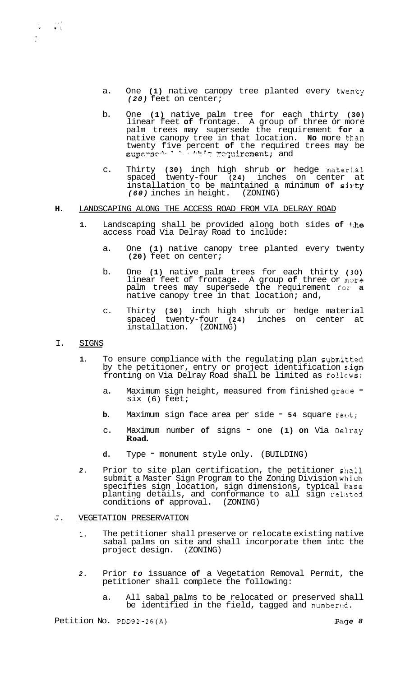- a. One (1) native canopy tree planted every twenty *(20)* feet on center;
- b. One **(1)** native palm tree for each thirty **(30)**  linear feet **of** frontage. A group of three or more palm trees may supersede the requirement **for a**  native canopy tree in that location. **No** more th.an  $\frac{1}{2}$  iventy five percent of the required trees may be supersed in the required trees may be
- c. Thirty **(30)** inch high shrub **or** hedge materi.al spaced twenty-four **(24)** inches on center at installation to be maintained a minimum of sixty *(60)* inches in height. (ZONING)

## **H.** LANDSCAPING ALONG THE ACCESS ROAD FROM VIA DELRAY ROAD

- **1.** Landscaping shall be provided along both sides **of** the access road Via Delray Road to include:
	- a. One **(1)** native canopy tree planted every twenty **(20)** feet on center;
	- b. One **(1)** native palm trees for each thirty **(:30)**  linear feet of frontage. A group of three or more palm trees may supersede the requirement for, **a**  native canopy tree in that location; and,
	- c. Thirty **(30)** inch high shrub or hedge material spaced twenty-four **(24)** inches on center at installation. (ZONING)

## I. SIGNS

 $\label{eq:2.1} \frac{1}{2} \int_{\mathbb{R}^3} \frac{1}{\sqrt{2}} \, \frac{d^2}{dx^2} \, dx$ 

- **1.** To ensure compliance with the regulating plan submit.ted by the petitioner, entry or project identification sign fronting on Via Delray Road shall be limited as follows:
	- a. Maximum sign height, measured from finished grade six (6) feet;
	- **b.** Maximum sign face area per side **54** square feet;
	- c. Maximum number **of** signs one **(1) on** Via De:l.ray **Road.**
	- d. Type monument style only. (BUILDING)
- 2. Prior to site plan certification, the petitioner shall submit a Master Sign Program to the Zoning Division w'llich specifies sign location, sign dimensions, typical Ibase planting details, and conformance to all sign related conditions of approval.  $(20NING)$ conditions of approval.

## **J.** VEGETATION PRESERVATION

- **1.** The petitioner shall preserve or relocate existing native sabal palms on site and shall incorporate them intc the project design. ( ZONING)
- *2.* Prior *to* issuance **of** a Vegetation Removal Permit, the petitioner shall complete the following:
	- a. All sabal palms to be relocated or preserved shall be identified in the field, tagged and numbered.